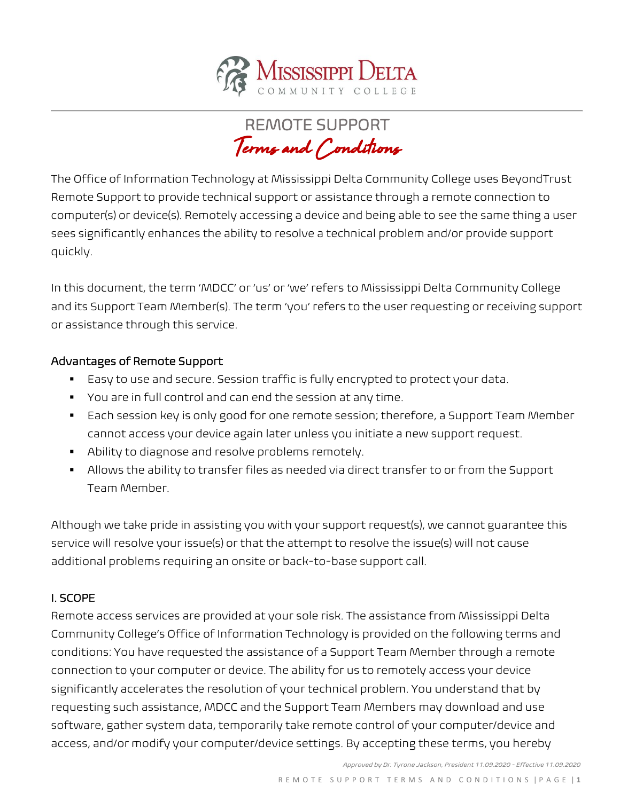

REMOTE SUPPORT Terms and Conditions

The Office of Information Technology at Mississippi Delta Community College uses BeyondTrust Remote Support to provide technical support or assistance through a remote connection to computer(s) or device(s). Remotely accessing a device and being able to see the same thing a user sees significantly enhances the ability to resolve a technical problem and/or provide support quickly.

In this document, the term 'MDCC' or 'us' or 'we' refers to Mississippi Delta Community College and its Support Team Member(s). The term 'you' refers to the user requesting or receiving support or assistance through this service.

### Advantages of Remote Support

- Easy to use and secure. Session traffic is fully encrypted to protect your data.
- You are in full control and can end the session at any time.
- Each session key is only good for one remote session; therefore, a Support Team Member cannot access your device again later unless you initiate a new support request.
- Ability to diagnose and resolve problems remotely.
- Allows the ability to transfer files as needed via direct transfer to or from the Support Team Member.

Although we take pride in assisting you with your support request(s), we cannot guarantee this service will resolve your issue(s) or that the attempt to resolve the issue(s) will not cause additional problems requiring an onsite or back-to-base support call.

### I. SCOPE

Remote access services are provided at your sole risk. The assistance from Mississippi Delta Community College's Office of Information Technology is provided on the following terms and conditions: You have requested the assistance of a Support Team Member through a remote connection to your computer or device. The ability for us to remotely access your device significantly accelerates the resolution of your technical problem. You understand that by requesting such assistance, MDCC and the Support Team Members may download and use software, gather system data, temporarily take remote control of your computer/device and access, and/or modify your computer/device settings. By accepting these terms, you hereby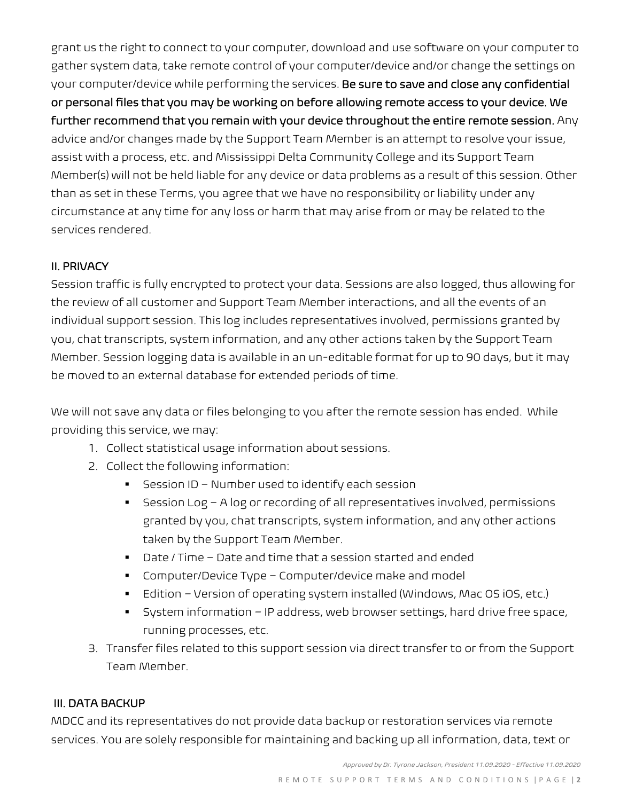grant us the right to connect to your computer, download and use software on your computer to gather system data, take remote control of your computer/device and/or change the settings on your computer/device while performing the services. Be sure to save and close any confidential or personal files that you may be working on before allowing remote access to your device. We further recommend that you remain with your device throughout the entire remote session. Any advice and/or changes made by the Support Team Member is an attempt to resolve your issue, assist with a process, etc. and Mississippi Delta Community College and its Support Team Member(s) will not be held liable for any device or data problems as a result of this session. Other than as set in these Terms, you agree that we have no responsibility or liability under any circumstance at any time for any loss or harm that may arise from or may be related to the services rendered.

## II. PRIVACY

Session traffic is fully encrypted to protect your data. Sessions are also logged, thus allowing for the review of all customer and Support Team Member interactions, and all the events of an individual support session. This log includes representatives involved, permissions granted by you, chat transcripts, system information, and any other actions taken by the Support Team Member. Session logging data is available in an un-editable format for up to 90 days, but it may be moved to an external database for extended periods of time.

We will not save any data or files belonging to you after the remote session has ended. While providing this service, we may:

- 1. Collect statistical usage information about sessions.
- 2. Collect the following information:
	- $\blacksquare$  Session ID Number used to identify each session
	- Session Log A log or recording of all representatives involved, permissions granted by you, chat transcripts, system information, and any other actions taken by the Support Team Member.
	- Date / Time Date and time that a session started and ended
	- Computer/Device Type Computer/device make and model
	- Edition Version of operating system installed (Windows, Mac OS iOS, etc.)
	- System information IP address, web browser settings, hard drive free space, running processes, etc.
- 3. Transfer files related to this support session via direct transfer to or from the Support Team Member.

### III. DATA BACKUP

MDCC and its representatives do not provide data backup or restoration services via remote services. You are solely responsible for maintaining and backing up all information, data, text or